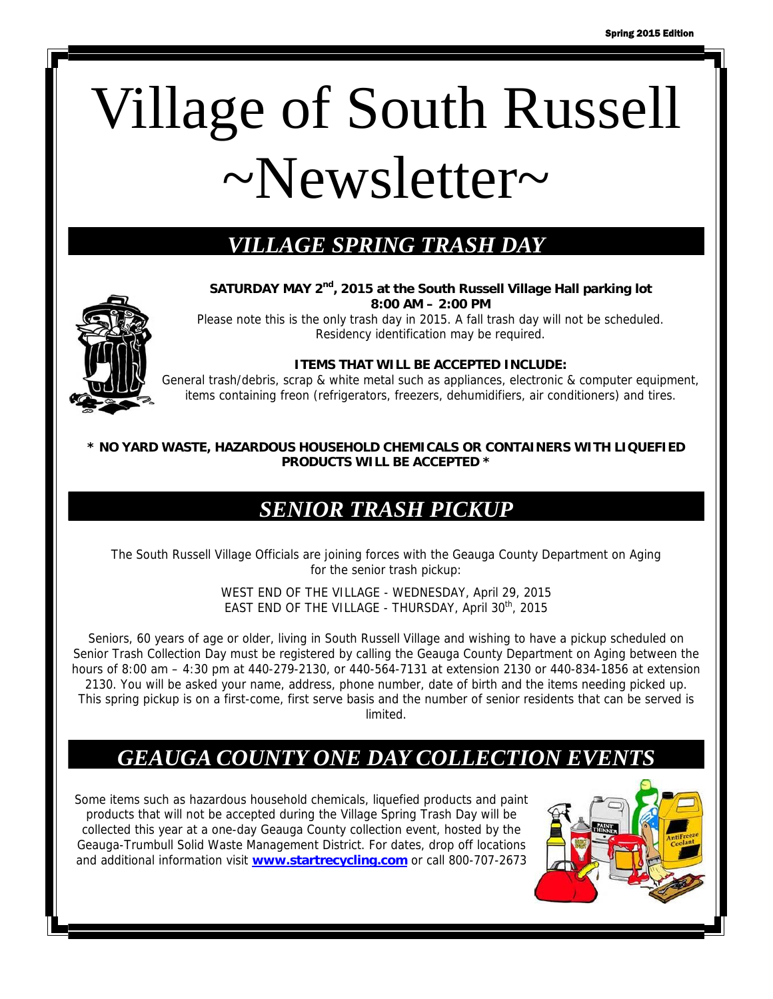# Village of South Russell  $\sim$ Newsletter $\sim$

## *VILLAGE SPRING TRASH DAY*



**SATURDAY MAY 2nd, 2015 at the South Russell Village Hall parking lot 8:00 AM – 2:00 PM** 

Please note this is the only trash day in 2015. A fall trash day will not be scheduled. Residency identification may be required.

#### **ITEMS THAT WILL BE ACCEPTED INCLUDE:**

General trash/debris, scrap & white metal such as appliances, electronic & computer equipment, items containing freon (refrigerators, freezers, dehumidifiers, air conditioners) and tires.

#### **\* NO YARD WASTE, HAZARDOUS HOUSEHOLD CHEMICALS OR CONTAINERS WITH LIQUEFIED PRODUCTS WILL BE ACCEPTED \***

#### *SENIOR TRASH PICKUP*

The South Russell Village Officials are joining forces with the Geauga County Department on Aging for the senior trash pickup:

> WEST END OF THE VILLAGE - WEDNESDAY, April 29, 2015 EAST END OF THE VILLAGE - THURSDAY, April 30<sup>th</sup>, 2015

Seniors, 60 years of age or older, living in South Russell Village and wishing to have a pickup scheduled on Senior Trash Collection Day must be registered by calling the Geauga County Department on Aging between the hours of 8:00 am – 4:30 pm at 440-279-2130, or 440-564-7131 at extension 2130 or 440-834-1856 at extension 2130. You will be asked your name, address, phone number, date of birth and the items needing picked up. This spring pickup is on a first-come, first serve basis and the number of senior residents that can be served is limited.

#### **GEAUGA COUNTY ONE DAY COLLECTION EVENTS**

Some items such as hazardous household chemicals, liquefied products and paint products that will not be accepted during the Village Spring Trash Day will be collected this year at a one-day Geauga County collection event, hosted by the Geauga-Trumbull Solid Waste Management District. For dates, drop off locations and additional information visit **www.startrecycling.com** or call 800-707-2673

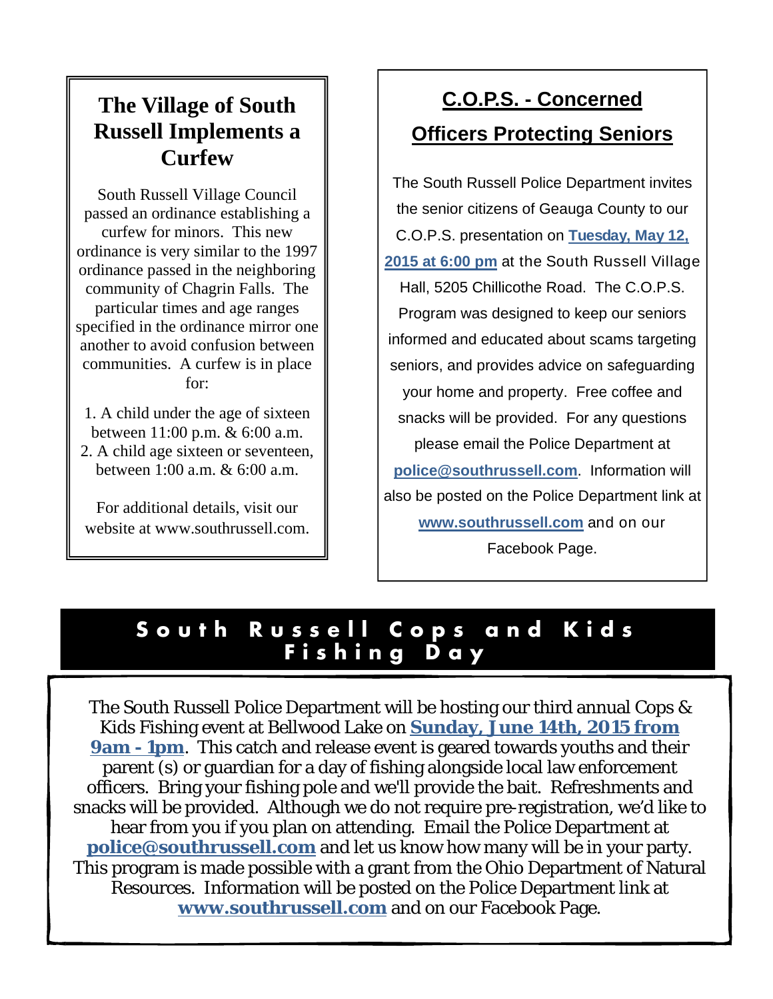## **The Village of South Russell Implements a Curfew**

South Russell Village Council passed an ordinance establishing a curfew for minors. This new ordinance is very similar to the 1997 ordinance passed in the neighboring community of Chagrin Falls. The particular times and age ranges specified in the ordinance mirror one another to avoid confusion between communities. A curfew is in place for:

1. A child under the age of sixteen between 11:00 p.m. & 6:00 a.m. 2. A child age sixteen or seventeen, between 1:00 a.m. & 6:00 a.m.

For additional details, visit our website at www.southrussell.com.

# **C.O.P.S. - Concerned Officers Protecting Seniors**

The South Russell Police Department invites the senior citizens of Geauga County to our C.O.P.S. presentation on **Tuesday, May 12, 2015 at 6:00 pm** at the South Russell Village Hall, 5205 Chillicothe Road. The C.O.P.S. Program was designed to keep our seniors informed and educated about scams targeting seniors, and provides advice on safeguarding your home and property. Free coffee and snacks will be provided. For any questions please email the Police Department at **police@southrussell.com**. Information will also be posted on the Police Department link at **www.southrussell.com** and on our Facebook Page.

## **South Russell Cops and Kids Fishing Day**

The South Russell Police Department will be hosting our third annual Cops & Kids Fishing event at Bellwood Lake on **Sunday, June 14th, 2015 from 9am - 1pm.** This catch and release event is geared towards youths and their parent (s) or guardian for a day of fishing alongside local law enforcement officers. Bring your fishing pole and we'll provide the bait. Refreshments and snacks will be provided. Although we do not require pre-registration, we'd like to hear from you if you plan on attending. Email the Police Department at **police@southrussell.com** and let us know how many will be in your party. This program is made possible with a grant from the Ohio Department of Natural Resources. Information will be posted on the Police Department link at **www.southrussell.com** and on our Facebook Page.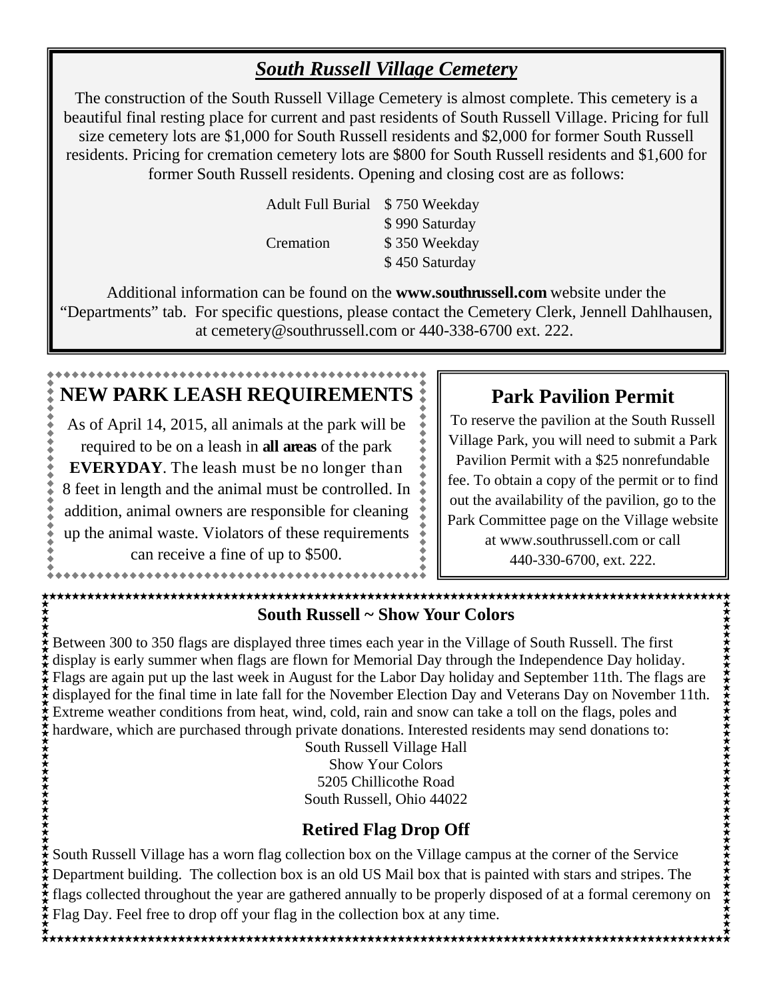#### *South Russell Village Cemetery*

The construction of the South Russell Village Cemetery is almost complete. This cemetery is a beautiful final resting place for current and past residents of South Russell Village. Pricing for full size cemetery lots are \$1,000 for South Russell residents and \$2,000 for former South Russell residents. Pricing for cremation cemetery lots are \$800 for South Russell residents and \$1,600 for former South Russell residents. Opening and closing cost are as follows:

| <b>Adult Full Burial</b> | \$750 Weekday  |
|--------------------------|----------------|
|                          | \$990 Saturday |
| Cremation                | \$350 Weekday  |
|                          | \$450 Saturday |

Additional information can be found on the **www.southrussell.com** website under the "Departments" tab. For specific questions, please contact the Cemetery Clerk, Jennell Dahlhausen, at cemetery@southrussell.com or 440-338-6700 ext. 222.

# **NEW PARK LEASH REQUIREMENTS**

As of April 14, 2015, all animals at the park will be required to be on a leash in **all areas** of the park **EVERYDAY**. The leash must be no longer than 8 feet in length and the animal must be controlled. In addition, animal owners are responsible for cleaning up the animal waste. Violators of these requirements

can receive a fine of up to \$500.

.................................

#### **Park Pavilion Permit**

To reserve the pavilion at the South Russell Village Park, you will need to submit a Park Pavilion Permit with a \$25 nonrefundable fee. To obtain a copy of the permit or to find out the availability of the pavilion, go to the Park Committee page on the Village website at www.southrussell.com or call 440-330-6700, ext. 222.

#### **South Russell ~ Show Your Colors**

Between 300 to 350 flags are displayed three times each year in the Village of South Russell. The first display is early summer when flags are flown for Memorial Day through the Independence Day holiday. Frags are again put up the last week in August for the South Russell. The first<br>display is early summer when flags are displayed three times each year in the Village of South Russell. The first<br>display is early summer when displayed for the final time in late fall for the November Election Day and Veterans Day on November 11th. Extreme weather conditions from heat, wind, cold, rain and snow can take a toll on the flags, poles and hardware, which are purchased through private donations. Interested residents may send donations to:

South Russell Village Hall Show Your Colors 5205 Chillicothe Road South Russell, Ohio 44022

#### **Retired Flag Drop Off**

South Russell Village has a worn flag collection box on the Village campus at the corner of the Service Department building. The collection box is an old US Mail box that is painted with stars and stripes. The flags collected throughout the year are gathered annually to be properly disposed of at a formal ceremony on Flag Day. Feel free to drop off your flag in the collection box at any time.